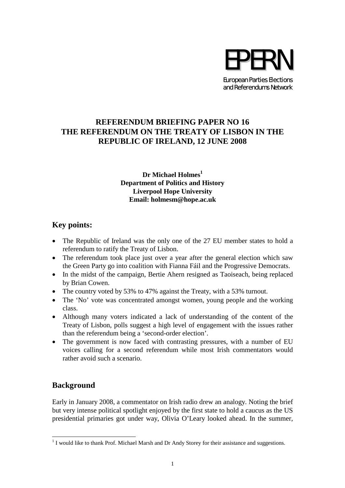

## **REFERENDUM BRIEFING PAPER NO 16 THE REFERENDUM ON THE TREATY OF LISBON IN THE REPUBLIC OF IRELAND, 12 JUNE 2008**

#### **Dr Michael Holmes<sup>1</sup> Department of Politics and History Liverpool Hope University Email: holmesm@hope.ac.uk**

# **Key points:**

- The Republic of Ireland was the only one of the 27 EU member states to hold a referendum to ratify the Treaty of Lisbon.
- The referendum took place just over a year after the general election which saw the Green Party go into coalition with Fianna Fáil and the Progressive Democrats.
- In the midst of the campaign, Bertie Ahern resigned as Taoiseach, being replaced by Brian Cowen.
- The country voted by 53% to 47% against the Treaty, with a 53% turnout.
- The 'No' vote was concentrated amongst women, young people and the working class.
- Although many voters indicated a lack of understanding of the content of the Treaty of Lisbon, polls suggest a high level of engagement with the issues rather than the referendum being a 'second-order election'.
- The government is now faced with contrasting pressures, with a number of EU voices calling for a second referendum while most Irish commentators would rather avoid such a scenario.

# **Background**

Early in January 2008, a commentator on Irish radio drew an analogy. Noting the brief but very intense political spotlight enjoyed by the first state to hold a caucus as the US presidential primaries got under way, Olivia O'Leary looked ahead. In the summer,

<sup>&</sup>lt;sup>1</sup> I would like to thank Prof. Michael Marsh and Dr Andy Storey for their assistance and suggestions.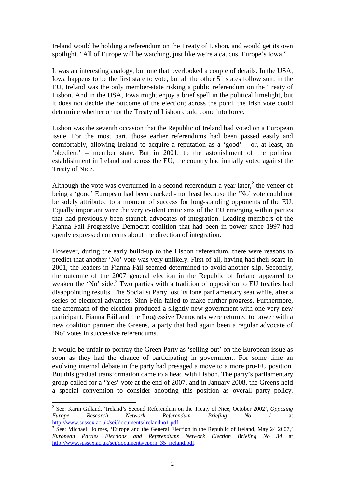Ireland would be holding a referendum on the Treaty of Lisbon, and would get its own spotlight. "All of Europe will be watching, just like we're a caucus, Europe's Iowa."

It was an interesting analogy, but one that overlooked a couple of details. In the USA, Iowa happens to be the first state to vote, but all the other 51 states follow suit; in the EU, Ireland was the only member-state risking a public referendum on the Treaty of Lisbon. And in the USA, Iowa might enjoy a brief spell in the political limelight, but it does not decide the outcome of the election; across the pond, the Irish vote could determine whether or not the Treaty of Lisbon could come into force.

Lisbon was the seventh occasion that the Republic of Ireland had voted on a European issue. For the most part, those earlier referendums had been passed easily and comfortably, allowing Ireland to acquire a reputation as a 'good' – or, at least, an 'obedient' – member state. But in 2001, to the astonishment of the political establishment in Ireland and across the EU, the country had initially voted against the Treaty of Nice.

Although the vote was overturned in a second referendum a year later,<sup>2</sup> the veneer of being a 'good' European had been cracked - not least because the 'No' vote could not be solely attributed to a moment of success for long-standing opponents of the EU. Equally important were the very evident criticisms of the EU emerging within parties that had previously been staunch advocates of integration. Leading members of the Fianna Fáil-Progressive Democrat coalition that had been in power since 1997 had openly expressed concerns about the direction of integration.

However, during the early build-up to the Lisbon referendum, there were reasons to predict that another 'No' vote was very unlikely. First of all, having had their scare in 2001, the leaders in Fianna Fáil seemed determined to avoid another slip. Secondly, the outcome of the 2007 general election in the Republic of Ireland appeared to weaken the 'No' side.<sup>3</sup> Two parties with a tradition of opposition to EU treaties had disappointing results. The Socialist Party lost its lone parliamentary seat while, after a series of electoral advances, Sinn Féin failed to make further progress. Furthermore, the aftermath of the election produced a slightly new government with one very new participant. Fianna Fáil and the Progressive Democrats were returned to power with a new coalition partner; the Greens, a party that had again been a regular advocate of 'No' votes in successive referendums.

It would be unfair to portray the Green Party as 'selling out' on the European issue as soon as they had the chance of participating in government. For some time an evolving internal debate in the party had presaged a move to a more pro-EU position. But this gradual transformation came to a head with Lisbon. The party's parliamentary group called for a 'Yes' vote at the end of 2007, and in January 2008, the Greens held a special convention to consider adopting this position as overall party policy.

<sup>2</sup> See: Karin Gilland, 'Ireland's Second Referendum on the Treaty of Nice, October 2002', *Opposing Europe Research Network Referendum Briefing No 1* at http://www.sussex.ac.uk/sei/documents/irelandno1.pdf.

<sup>3</sup> See: Michael Holmes, 'Europe and the General Election in the Republic of Ireland, May 24 2007,' *European Parties Elections and Referendums Network Election Briefing No 34* at http://www.sussex.ac.uk/sei/documents/epern\_35\_ireland.pdf.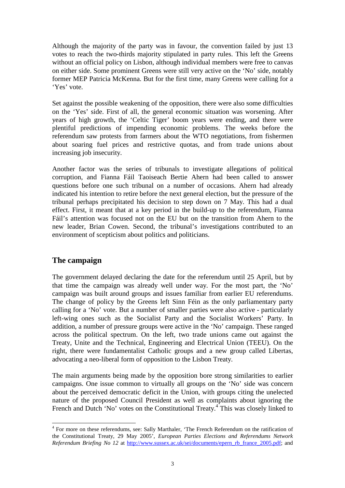Although the majority of the party was in favour, the convention failed by just 13 votes to reach the two-thirds majority stipulated in party rules. This left the Greens without an official policy on Lisbon, although individual members were free to canvas on either side. Some prominent Greens were still very active on the 'No' side, notably former MEP Patricia McKenna. But for the first time, many Greens were calling for a 'Yes' vote.

Set against the possible weakening of the opposition, there were also some difficulties on the 'Yes' side. First of all, the general economic situation was worsening. After years of high growth, the 'Celtic Tiger' boom years were ending, and there were plentiful predictions of impending economic problems. The weeks before the referendum saw protests from farmers about the WTO negotiations, from fishermen about soaring fuel prices and restrictive quotas, and from trade unions about increasing job insecurity.

Another factor was the series of tribunals to investigate allegations of political corruption, and Fianna Fáil Taoiseach Bertie Ahern had been called to answer questions before one such tribunal on a number of occasions. Ahern had already indicated his intention to retire before the next general election, but the pressure of the tribunal perhaps precipitated his decision to step down on 7 May. This had a dual effect. First, it meant that at a key period in the build-up to the referendum, Fianna Fáil's attention was focused not on the EU but on the transition from Ahern to the new leader, Brian Cowen. Second, the tribunal's investigations contributed to an environment of scepticism about politics and politicians.

### **The campaign**

The government delayed declaring the date for the referendum until 25 April, but by that time the campaign was already well under way. For the most part, the 'No' campaign was built around groups and issues familiar from earlier EU referendums. The change of policy by the Greens left Sinn Féin as the only parliamentary party calling for a 'No' vote. But a number of smaller parties were also active - particularly left-wing ones such as the Socialist Party and the Socialist Workers' Party. In addition, a number of pressure groups were active in the 'No' campaign. These ranged across the political spectrum. On the left, two trade unions came out against the Treaty, Unite and the Technical, Engineering and Electrical Union (TEEU). On the right, there were fundamentalist Catholic groups and a new group called Libertas, advocating a neo-liberal form of opposition to the Lisbon Treaty.

The main arguments being made by the opposition bore strong similarities to earlier campaigns. One issue common to virtually all groups on the 'No' side was concern about the perceived democratic deficit in the Union, with groups citing the unelected nature of the proposed Council President as well as complaints about ignoring the French and Dutch 'No' votes on the Constitutional Treaty.<sup>4</sup> This was closely linked to

<sup>&</sup>lt;sup>4</sup> For more on these referendums, see: Sally Marthaler, 'The French Referendum on the ratification of the Constitutional Treaty, 29 May 2005', *European Parties Elections and Referendums Network Referendum Briefing No 12* at http://www.sussex.ac.uk/sei/documents/epern\_rb\_france\_2005.pdf; and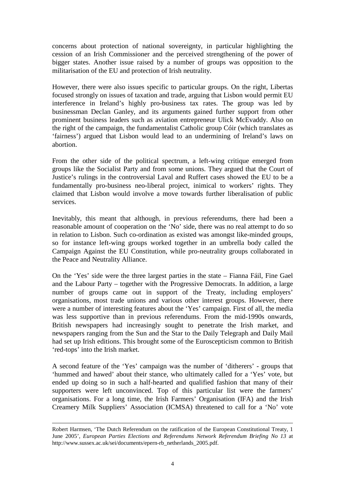concerns about protection of national sovereignty, in particular highlighting the cession of an Irish Commissioner and the perceived strengthening of the power of bigger states. Another issue raised by a number of groups was opposition to the militarisation of the EU and protection of Irish neutrality.

However, there were also issues specific to particular groups. On the right, Libertas focused strongly on issues of taxation and trade, arguing that Lisbon would permit EU interference in Ireland's highly pro-business tax rates. The group was led by businessman Declan Ganley, and its arguments gained further support from other prominent business leaders such as aviation entrepreneur Ulick McEvaddy. Also on the right of the campaign, the fundamentalist Catholic group Cóir (which translates as 'fairness') argued that Lisbon would lead to an undermining of Ireland's laws on abortion.

From the other side of the political spectrum, a left-wing critique emerged from groups like the Socialist Party and from some unions. They argued that the Court of Justice's rulings in the controversial Laval and Ruffert cases showed the EU to be a fundamentally pro-business neo-liberal project, inimical to workers' rights. They claimed that Lisbon would involve a move towards further liberalisation of public services.

Inevitably, this meant that although, in previous referendums, there had been a reasonable amount of cooperation on the 'No' side, there was no real attempt to do so in relation to Lisbon. Such co-ordination as existed was amongst like-minded groups, so for instance left-wing groups worked together in an umbrella body called the Campaign Against the EU Constitution, while pro-neutrality groups collaborated in the Peace and Neutrality Alliance.

On the 'Yes' side were the three largest parties in the state – Fianna Fáil, Fine Gael and the Labour Party – together with the Progressive Democrats. In addition, a large number of groups came out in support of the Treaty, including employers' organisations, most trade unions and various other interest groups. However, there were a number of interesting features about the 'Yes' campaign. First of all, the media was less supportive than in previous referendums. From the mid-1990s onwards, British newspapers had increasingly sought to penetrate the Irish market, and newspapers ranging from the Sun and the Star to the Daily Telegraph and Daily Mail had set up Irish editions. This brought some of the Euroscepticism common to British 'red-tops' into the Irish market.

A second feature of the 'Yes' campaign was the number of 'ditherers' - groups that 'hummed and hawed' about their stance, who ultimately called for a 'Yes' vote, but ended up doing so in such a half-hearted and qualified fashion that many of their supporters were left unconvinced. Top of this particular list were the farmers' organisations. For a long time, the Irish Farmers' Organisation (IFA) and the Irish Creamery Milk Suppliers' Association (ICMSA) threatened to call for a 'No' vote

Robert Harmsen, 'The Dutch Referendum on the ratification of the European Constitutional Treaty, 1 June 2005', *European Parties Elections and Referendums Network Referendum Briefing No 13* at http://www.sussex.ac.uk/sei/documents/epern-rb\_netherlands\_2005.pdf.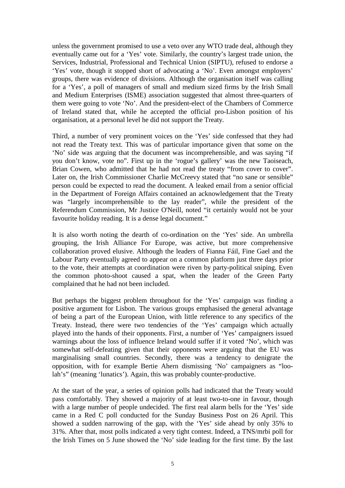unless the government promised to use a veto over any WTO trade deal, although they eventually came out for a 'Yes' vote. Similarly, the country's largest trade union, the Services, Industrial, Professional and Technical Union (SIPTU), refused to endorse a 'Yes' vote, though it stopped short of advocating a 'No'. Even amongst employers' groups, there was evidence of divisions. Although the organisation itself was calling for a 'Yes', a poll of managers of small and medium sized firms by the Irish Small and Medium Enterprises (ISME) association suggested that almost three-quarters of them were going to vote 'No'. And the president-elect of the Chambers of Commerce of Ireland stated that, while he accepted the official pro-Lisbon position of his organisation, at a personal level he did not support the Treaty.

Third, a number of very prominent voices on the 'Yes' side confessed that they had not read the Treaty text. This was of particular importance given that some on the 'No' side was arguing that the document was incomprehensible, and was saying "if you don't know, vote no". First up in the 'rogue's gallery' was the new Taoiseach, Brian Cowen, who admitted that he had not read the treaty "from cover to cover". Later on, the Irish Commissioner Charlie McCreevy stated that "no sane or sensible" person could be expected to read the document. A leaked email from a senior official in the Department of Foreign Affairs contained an acknowledgement that the Treaty was "largely incomprehensible to the lay reader", while the president of the Referendum Commission, Mr Justice O'Neill, noted "it certainly would not be your favourite holiday reading. It is a dense legal document."

It is also worth noting the dearth of co-ordination on the 'Yes' side. An umbrella grouping, the Irish Alliance For Europe, was active, but more comprehensive collaboration proved elusive. Although the leaders of Fianna Fáil, Fine Gael and the Labour Party eventually agreed to appear on a common platform just three days prior to the vote, their attempts at coordination were riven by party-political sniping. Even the common photo-shoot caused a spat, when the leader of the Green Party complained that he had not been included.

But perhaps the biggest problem throughout for the 'Yes' campaign was finding a positive argument for Lisbon. The various groups emphasised the general advantage of being a part of the European Union, with little reference to any specifics of the Treaty. Instead, there were two tendencies of the 'Yes' campaign which actually played into the hands of their opponents. First, a number of 'Yes' campaigners issued warnings about the loss of influence Ireland would suffer if it voted 'No', which was somewhat self-defeating given that their opponents were arguing that the EU was marginalising small countries. Secondly, there was a tendency to denigrate the opposition, with for example Bertie Ahern dismissing 'No' campaigners as "loolah's" (meaning 'lunatics'). Again, this was probably counter-productive.

At the start of the year, a series of opinion polls had indicated that the Treaty would pass comfortably. They showed a majority of at least two-to-one in favour, though with a large number of people undecided. The first real alarm bells for the 'Yes' side came in a Red C poll conducted for the Sunday Business Post on 26 April. This showed a sudden narrowing of the gap, with the 'Yes' side ahead by only 35% to 31%. After that, most polls indicated a very tight contest. Indeed, a TNS/mrbi poll for the Irish Times on 5 June showed the 'No' side leading for the first time. By the last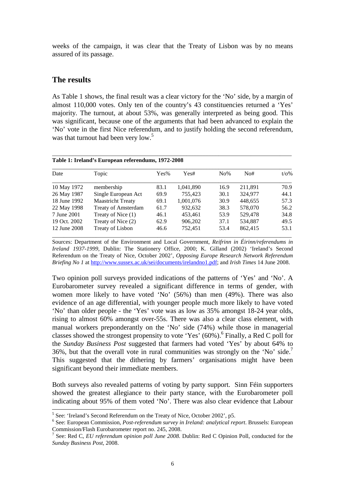weeks of the campaign, it was clear that the Treaty of Lisbon was by no means assured of its passage.

#### **The results**

As Table 1 shows, the final result was a clear victory for the 'No' side, by a margin of almost 110,000 votes. Only ten of the country's 43 constituencies returned a 'Yes' majority. The turnout, at about 53%, was generally interpreted as being good. This was significant, because one of the arguments that had been advanced to explain the 'No' vote in the first Nice referendum, and to justify holding the second referendum, was that turnout had been very low.<sup>5</sup>

\_\_\_\_\_\_\_\_\_\_\_\_\_\_\_\_\_\_\_\_\_\_\_\_\_\_\_\_\_\_\_\_\_\_\_\_\_\_\_\_\_\_\_\_\_\_\_\_\_\_\_\_\_\_\_\_\_\_\_\_\_\_\_\_\_\_\_\_\_\_\_\_\_\_\_\_\_\_\_\_\_\_

**Table 1: Ireland's European referendums, 1972-2008**

| Date         | Topic                      | Yes% | Yes#      | $No\%$ | No#     | $t/\sigma\%$ |
|--------------|----------------------------|------|-----------|--------|---------|--------------|
| 10 May 1972  | membership                 | 83.1 | 1,041,890 | 16.9   | 211,891 | 70.9         |
| 26 May 1987  | Single European Act        | 69.9 | 755,423   | 30.1   | 324,977 | 44.1         |
| 18 June 1992 | <b>Maastricht Treaty</b>   | 69.1 | 1,001,076 | 30.9   | 448,655 | 57.3         |
| 22 May 1998  | <b>Treaty of Amsterdam</b> | 61.7 | 932,632   | 38.3   | 578,070 | 56.2         |
| 7 June 2001  | Treaty of Nice (1)         | 46.1 | 453,461   | 53.9   | 529,478 | 34.8         |
| 19 Oct. 2002 | Treaty of Nice (2)         | 62.9 | 906,202   | 37.1   | 534,887 | 49.5         |
| 12 June 2008 | Treaty of Lisbon           | 46.6 | 752,451   | 53.4   | 862,415 | 53.1         |

Sources: Department of the Environment and Local Government, *Reifrinn in Éirinn/referendums in Ireland 1937-1999*, Dublin: The Stationery Office, 2000; K. Gilland (2002) 'Ireland's Second Referendum on the Treaty of Nice, October 2002', *Opposing Europe Research Network Referendum Briefing No 1* at http://www.sussex.ac.uk/sei/documents/irelandno1.pdf; and *Irish Times* 14 June 2008.

Two opinion poll surveys provided indications of the patterns of 'Yes' and 'No'. A Eurobarometer survey revealed a significant difference in terms of gender, with women more likely to have voted 'No' (56%) than men (49%). There was also evidence of an age differential, with younger people much more likely to have voted 'No' than older people - the 'Yes' vote was as low as 35% amongst 18-24 year olds, rising to almost 60% amongst over-55s. There was also a clear class element, with manual workers preponderantly on the 'No' side (74%) while those in managerial classes showed the strongest propensity to vote 'Yes'  $(60\%)$ . Finally, a Red C poll for the *Sunday Business Post* suggested that farmers had voted 'Yes' by about 64% to 36%, but that the overall vote in rural communities was strongly on the 'No' side.<sup>7</sup> This suggested that the dithering by farmers' organisations might have been significant beyond their immediate members.

Both surveys also revealed patterns of voting by party support. Sinn Féin supporters showed the greatest allegiance to their party stance, with the Eurobarometer poll indicating about 95% of them voted 'No'. There was also clear evidence that Labour

<sup>&</sup>lt;sup>5</sup> See: 'Ireland's Second Referendum on the Treaty of Nice, October 2002', p5.

<sup>6</sup> See: European Commission, *Post-referendum survey in Ireland: analytical report*. Brussels: European Commission/Flash Eurobarometer report no. 245, 2008.

<sup>7</sup> See: Red C, *EU referendum opinion poll June 2008.* Dublin: Red C Opinion Poll, conducted for the *Sunday Business Post,* 2008.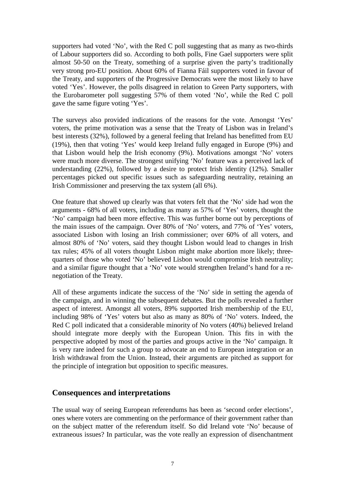supporters had voted 'No', with the Red C poll suggesting that as many as two-thirds of Labour supporters did so. According to both polls, Fine Gael supporters were split almost 50-50 on the Treaty, something of a surprise given the party's traditionally very strong pro-EU position. About 60% of Fianna Fáil supporters voted in favour of the Treaty, and supporters of the Progressive Democrats were the most likely to have voted 'Yes'. However, the polls disagreed in relation to Green Party supporters, with the Eurobarometer poll suggesting 57% of them voted 'No', while the Red C poll gave the same figure voting 'Yes'.

The surveys also provided indications of the reasons for the vote. Amongst 'Yes' voters, the prime motivation was a sense that the Treaty of Lisbon was in Ireland's best interests (32%), followed by a general feeling that Ireland has benefitted from EU (19%), then that voting 'Yes' would keep Ireland fully engaged in Europe (9%) and that Lisbon would help the Irish economy (9%). Motivations amongst 'No' voters were much more diverse. The strongest unifying 'No' feature was a perceived lack of understanding (22%), followed by a desire to protect Irish identity (12%). Smaller percentages picked out specific issues such as safeguarding neutrality, retaining an Irish Commissioner and preserving the tax system (all 6%).

One feature that showed up clearly was that voters felt that the 'No' side had won the arguments - 68% of all voters, including as many as 57% of 'Yes' voters, thought the 'No' campaign had been more effective. This was further borne out by perceptions of the main issues of the campaign. Over 80% of 'No' voters, and 77% of 'Yes' voters, associated Lisbon with losing an Irish commissioner; over 60% of all voters, and almost 80% of 'No' voters, said they thought Lisbon would lead to changes in Irish tax rules; 45% of all voters thought Lisbon might make abortion more likely; threequarters of those who voted 'No' believed Lisbon would compromise Irish neutrality; and a similar figure thought that a 'No' vote would strengthen Ireland's hand for a renegotiation of the Treaty.

All of these arguments indicate the success of the 'No' side in setting the agenda of the campaign, and in winning the subsequent debates. But the polls revealed a further aspect of interest. Amongst all voters, 89% supported Irish membership of the EU, including 98% of 'Yes' voters but also as many as 80% of 'No' voters. Indeed, the Red C poll indicated that a considerable minority of No voters (40%) believed Ireland should integrate more deeply with the European Union. This fits in with the perspective adopted by most of the parties and groups active in the 'No' campaign. It is very rare indeed for such a group to advocate an end to European integration or an Irish withdrawal from the Union. Instead, their arguments are pitched as support for the principle of integration but opposition to specific measures.

#### **Consequences and interpretations**

The usual way of seeing European referendums has been as 'second order elections', ones where voters are commenting on the performance of their government rather than on the subject matter of the referendum itself. So did Ireland vote 'No' because of extraneous issues? In particular, was the vote really an expression of disenchantment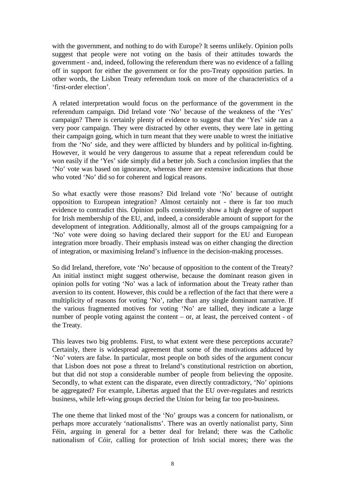with the government, and nothing to do with Europe? It seems unlikely. Opinion polls suggest that people were not voting on the basis of their attitudes towards the government - and, indeed, following the referendum there was no evidence of a falling off in support for either the government or for the pro-Treaty opposition parties. In other words, the Lisbon Treaty referendum took on more of the characteristics of a 'first-order election'.

A related interpretation would focus on the performance of the government in the referendum campaign. Did Ireland vote 'No' because of the weakness of the 'Yes' campaign? There is certainly plenty of evidence to suggest that the 'Yes' side ran a very poor campaign. They were distracted by other events, they were late in getting their campaign going, which in turn meant that they were unable to wrest the initiative from the 'No' side, and they were afflicted by blunders and by political in-fighting. However, it would be very dangerous to assume that a repeat referendum could be won easily if the 'Yes' side simply did a better job. Such a conclusion implies that the 'No' vote was based on ignorance, whereas there are extensive indications that those who voted 'No' did so for coherent and logical reasons.

So what exactly were those reasons? Did Ireland vote 'No' because of outright opposition to European integration? Almost certainly not - there is far too much evidence to contradict this. Opinion polls consistently show a high degree of support for Irish membership of the EU, and, indeed, a considerable amount of support for the development of integration. Additionally, almost all of the groups campaigning for a 'No' vote were doing so having declared their support for the EU and European integration more broadly. Their emphasis instead was on either changing the direction of integration, or maximising Ireland's influence in the decision-making processes.

So did Ireland, therefore, vote 'No' because of opposition to the content of the Treaty? An initial instinct might suggest otherwise, because the dominant reason given in opinion polls for voting 'No' was a lack of information about the Treaty rather than aversion to its content. However, this could be a reflection of the fact that there were a multiplicity of reasons for voting 'No', rather than any single dominant narrative. If the various fragmented motives for voting 'No' are tallied, they indicate a large number of people voting against the content – or, at least, the perceived content - of the Treaty.

This leaves two big problems. First, to what extent were these perceptions accurate? Certainly, there is widespread agreement that some of the motivations adduced by 'No' voters are false. In particular, most people on both sides of the argument concur that Lisbon does not pose a threat to Ireland's constitutional restriction on abortion, but that did not stop a considerable number of people from believing the opposite. Secondly, to what extent can the disparate, even directly contradictory, 'No' opinions be aggregated? For example, Libertas argued that the EU over-regulates and restricts business, while left-wing groups decried the Union for being far too pro-business.

The one theme that linked most of the 'No' groups was a concern for nationalism, or perhaps more accurately 'nationalisms'. There was an overtly nationalist party, Sinn Féin, arguing in general for a better deal for Ireland; there was the Catholic nationalism of Cóir, calling for protection of Irish social mores; there was the